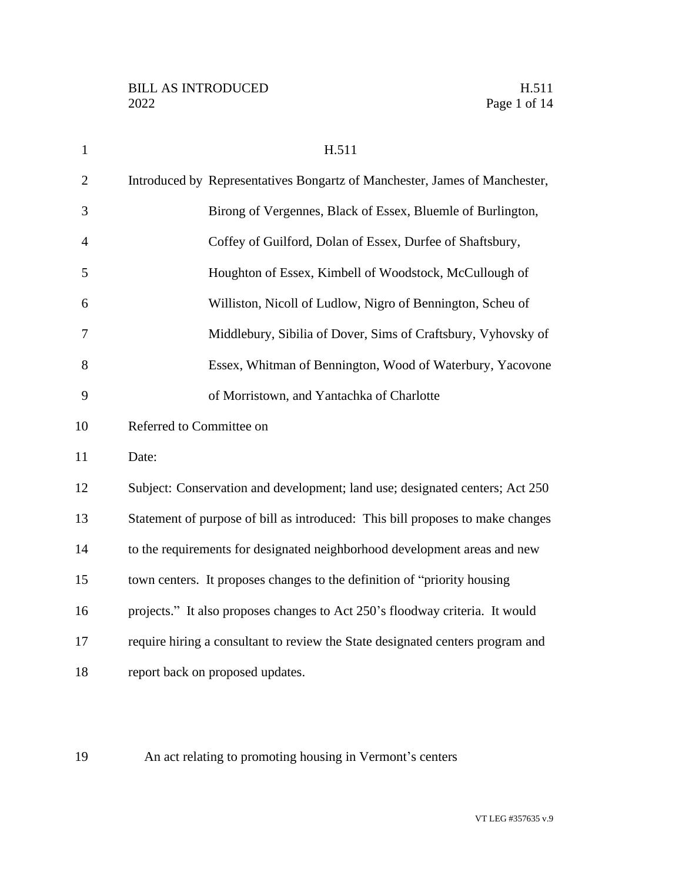| $\mathbf{1}$   | H.511                                                                          |
|----------------|--------------------------------------------------------------------------------|
| $\overline{2}$ | Introduced by Representatives Bongartz of Manchester, James of Manchester,     |
| 3              | Birong of Vergennes, Black of Essex, Bluemle of Burlington,                    |
| $\overline{4}$ | Coffey of Guilford, Dolan of Essex, Durfee of Shaftsbury,                      |
| 5              | Houghton of Essex, Kimbell of Woodstock, McCullough of                         |
| 6              | Williston, Nicoll of Ludlow, Nigro of Bennington, Scheu of                     |
| 7              | Middlebury, Sibilia of Dover, Sims of Craftsbury, Vyhovsky of                  |
| 8              | Essex, Whitman of Bennington, Wood of Waterbury, Yacovone                      |
| 9              | of Morristown, and Yantachka of Charlotte                                      |
| 10             | Referred to Committee on                                                       |
| 11             | Date:                                                                          |
| 12             | Subject: Conservation and development; land use; designated centers; Act 250   |
| 13             | Statement of purpose of bill as introduced: This bill proposes to make changes |
| 14             | to the requirements for designated neighborhood development areas and new      |
| 15             | town centers. It proposes changes to the definition of "priority housing       |
| 16             | projects." It also proposes changes to Act 250's floodway criteria. It would   |
| 17             | require hiring a consultant to review the State designated centers program and |
| 18             | report back on proposed updates.                                               |
|                |                                                                                |

An act relating to promoting housing in Vermont's centers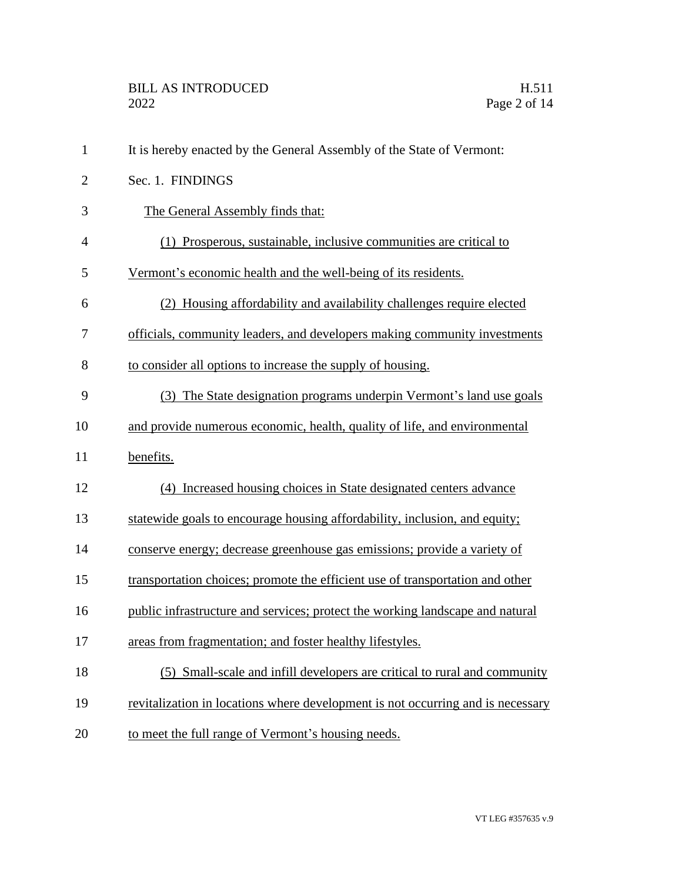| $\mathbf{1}$   | It is hereby enacted by the General Assembly of the State of Vermont:           |
|----------------|---------------------------------------------------------------------------------|
| $\overline{c}$ | Sec. 1. FINDINGS                                                                |
| 3              | The General Assembly finds that:                                                |
| 4              | (1) Prosperous, sustainable, inclusive communities are critical to              |
| 5              | Vermont's economic health and the well-being of its residents.                  |
| 6              | (2) Housing affordability and availability challenges require elected           |
| 7              | officials, community leaders, and developers making community investments       |
| 8              | to consider all options to increase the supply of housing.                      |
| 9              | (3) The State designation programs underpin Vermont's land use goals            |
| 10             | and provide numerous economic, health, quality of life, and environmental       |
| 11             | benefits.                                                                       |
| 12             | (4) Increased housing choices in State designated centers advance               |
| 13             | statewide goals to encourage housing affordability, inclusion, and equity;      |
| 14             | conserve energy; decrease greenhouse gas emissions; provide a variety of        |
| 15             | transportation choices; promote the efficient use of transportation and other   |
| 16             | public infrastructure and services; protect the working landscape and natural   |
| 17             | areas from fragmentation; and foster healthy lifestyles.                        |
| 18             | (5) Small-scale and infill developers are critical to rural and community       |
| 19             | revitalization in locations where development is not occurring and is necessary |
| 20             | to meet the full range of Vermont's housing needs.                              |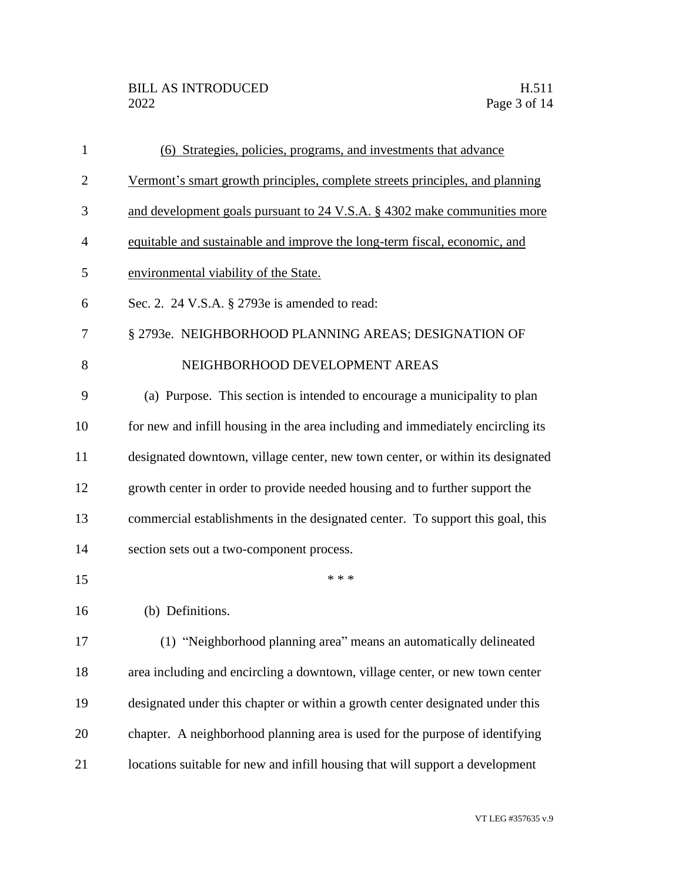| 1              | (6) Strategies, policies, programs, and investments that advance                |
|----------------|---------------------------------------------------------------------------------|
| $\overline{2}$ | Vermont's smart growth principles, complete streets principles, and planning    |
| 3              | and development goals pursuant to 24 V.S.A. § 4302 make communities more        |
| $\overline{4}$ | equitable and sustainable and improve the long-term fiscal, economic, and       |
| 5              | environmental viability of the State.                                           |
| 6              | Sec. 2. 24 V.S.A. § 2793e is amended to read:                                   |
| 7              | § 2793e. NEIGHBORHOOD PLANNING AREAS; DESIGNATION OF                            |
| 8              | NEIGHBORHOOD DEVELOPMENT AREAS                                                  |
| 9              | (a) Purpose. This section is intended to encourage a municipality to plan       |
| 10             | for new and infill housing in the area including and immediately encircling its |
| 11             | designated downtown, village center, new town center, or within its designated  |
| 12             | growth center in order to provide needed housing and to further support the     |
| 13             | commercial establishments in the designated center. To support this goal, this  |
| 14             | section sets out a two-component process.                                       |
| 15             | * * *                                                                           |
| 16             | (b) Definitions.                                                                |
| 17             | (1) "Neighborhood planning area" means an automatically delineated              |
| 18             | area including and encircling a downtown, village center, or new town center    |
| 19             | designated under this chapter or within a growth center designated under this   |
| 20             | chapter. A neighborhood planning area is used for the purpose of identifying    |
| 21             | locations suitable for new and infill housing that will support a development   |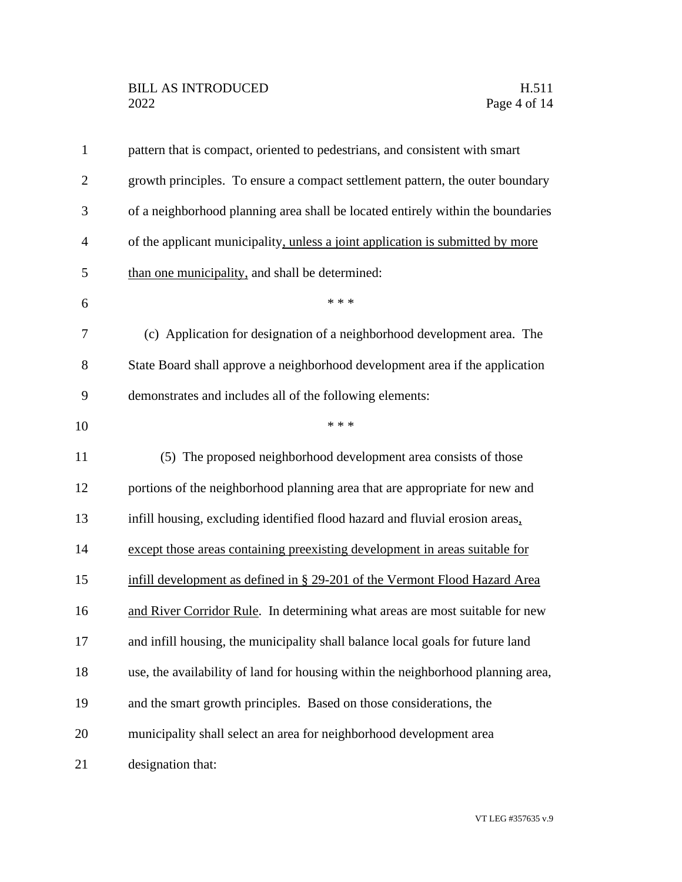| $\mathbf{1}$   | pattern that is compact, oriented to pedestrians, and consistent with smart      |
|----------------|----------------------------------------------------------------------------------|
| $\overline{2}$ | growth principles. To ensure a compact settlement pattern, the outer boundary    |
| 3              | of a neighborhood planning area shall be located entirely within the boundaries  |
| $\overline{4}$ | of the applicant municipality, unless a joint application is submitted by more   |
| 5              | than one municipality, and shall be determined:                                  |
| 6              | * * *                                                                            |
| 7              | (c) Application for designation of a neighborhood development area. The          |
| 8              | State Board shall approve a neighborhood development area if the application     |
| 9              | demonstrates and includes all of the following elements:                         |
| 10             | * * *                                                                            |
| 11             | (5) The proposed neighborhood development area consists of those                 |
| 12             | portions of the neighborhood planning area that are appropriate for new and      |
| 13             | infill housing, excluding identified flood hazard and fluvial erosion areas,     |
| 14             | except those areas containing preexisting development in areas suitable for      |
| 15             | infill development as defined in § 29-201 of the Vermont Flood Hazard Area       |
| 16             | and River Corridor Rule. In determining what areas are most suitable for new     |
| 17             | and infill housing, the municipality shall balance local goals for future land   |
| 18             | use, the availability of land for housing within the neighborhood planning area, |
| 19             | and the smart growth principles. Based on those considerations, the              |
| 20             | municipality shall select an area for neighborhood development area              |
| 21             | designation that:                                                                |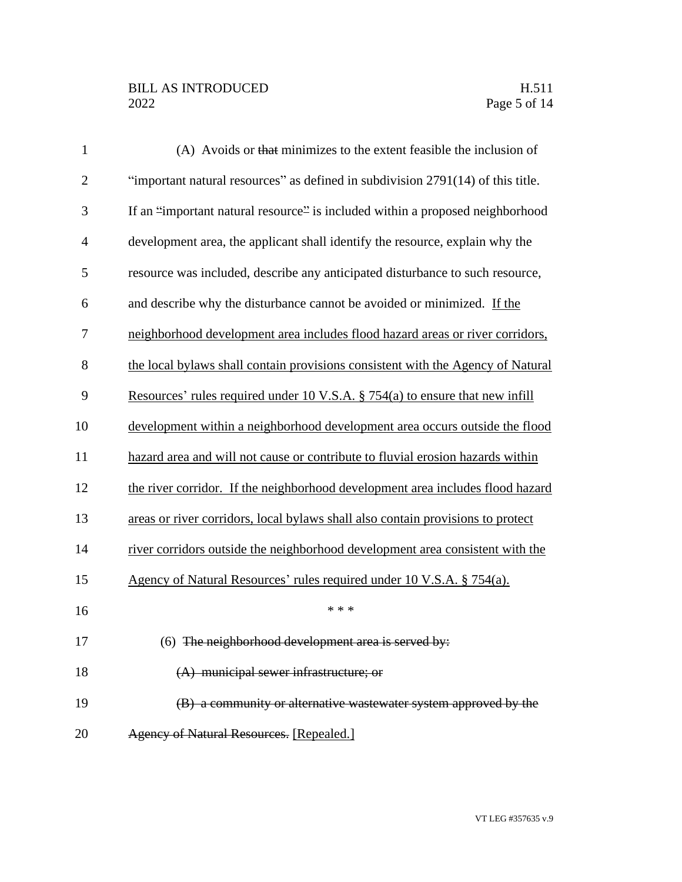## BILL AS INTRODUCED H.511<br>2022 Page 5 of 14

| $\mathbf{1}$   | (A) Avoids or that minimizes to the extent feasible the inclusion of            |
|----------------|---------------------------------------------------------------------------------|
| $\overline{2}$ | "important natural resources" as defined in subdivision 2791(14) of this title. |
| 3              | If an "important natural resource" is included within a proposed neighborhood   |
| $\overline{4}$ | development area, the applicant shall identify the resource, explain why the    |
| 5              | resource was included, describe any anticipated disturbance to such resource,   |
| 6              | and describe why the disturbance cannot be avoided or minimized. If the         |
| 7              | neighborhood development area includes flood hazard areas or river corridors,   |
| 8              | the local bylaws shall contain provisions consistent with the Agency of Natural |
| 9              | Resources' rules required under 10 V.S.A. § 754(a) to ensure that new infill    |
| 10             | development within a neighborhood development area occurs outside the flood     |
| 11             | hazard area and will not cause or contribute to fluvial erosion hazards within  |
| 12             | the river corridor. If the neighborhood development area includes flood hazard  |
| 13             | areas or river corridors, local bylaws shall also contain provisions to protect |
| 14             | river corridors outside the neighborhood development area consistent with the   |
| 15             | Agency of Natural Resources' rules required under 10 V.S.A. § 754(a).           |
| 16             | * * *                                                                           |
| 17             | $(6)$ The neighborhood development area is served by:                           |
| 18             | (A) municipal sewer infrastructure; or                                          |
| 19             | (B) a community or alternative wastewater system approved by the                |
| 20             | Agency of Natural Resources. [Repealed.]                                        |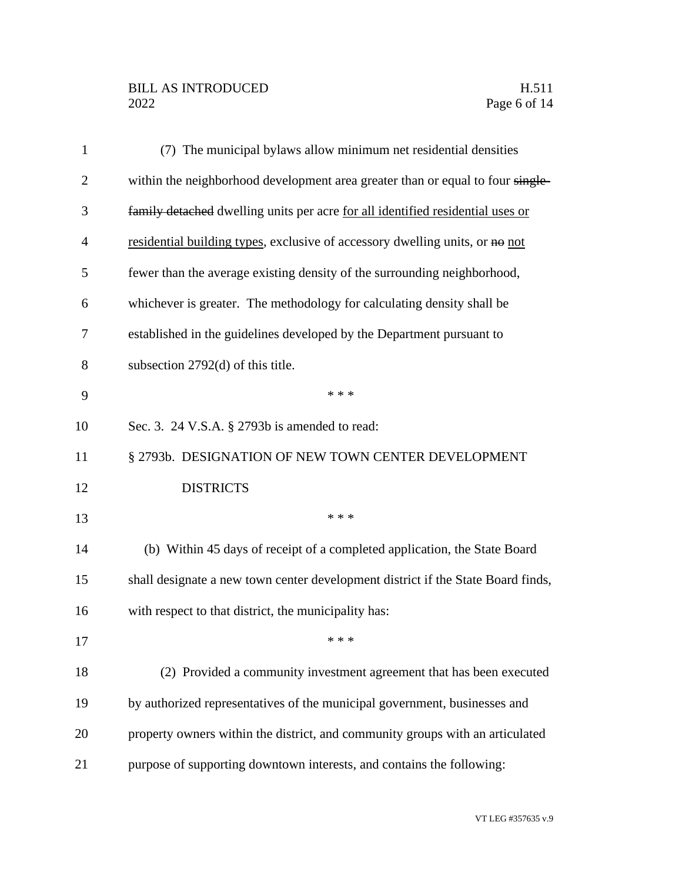## BILL AS INTRODUCED H.511<br>2022 Page 6 of 14

| $\mathbf{1}$   | (7) The municipal bylaws allow minimum net residential densities                 |
|----------------|----------------------------------------------------------------------------------|
| $\overline{2}$ | within the neighborhood development area greater than or equal to four single-   |
| 3              | family detached dwelling units per acre for all identified residential uses or   |
| 4              | residential building types, exclusive of accessory dwelling units, or no not     |
| 5              | fewer than the average existing density of the surrounding neighborhood,         |
| 6              | whichever is greater. The methodology for calculating density shall be           |
| 7              | established in the guidelines developed by the Department pursuant to            |
| 8              | subsection 2792(d) of this title.                                                |
| 9              | * * *                                                                            |
| 10             | Sec. 3. 24 V.S.A. § 2793b is amended to read:                                    |
| 11             | § 2793b. DESIGNATION OF NEW TOWN CENTER DEVELOPMENT                              |
| 12             | <b>DISTRICTS</b>                                                                 |
| 13             | * * *                                                                            |
| 14             | (b) Within 45 days of receipt of a completed application, the State Board        |
| 15             | shall designate a new town center development district if the State Board finds, |
| 16             | with respect to that district, the municipality has:                             |
| 17             |                                                                                  |
| 18             | (2) Provided a community investment agreement that has been executed             |
| 19             | by authorized representatives of the municipal government, businesses and        |
| 20             | property owners within the district, and community groups with an articulated    |
| 21             | purpose of supporting downtown interests, and contains the following:            |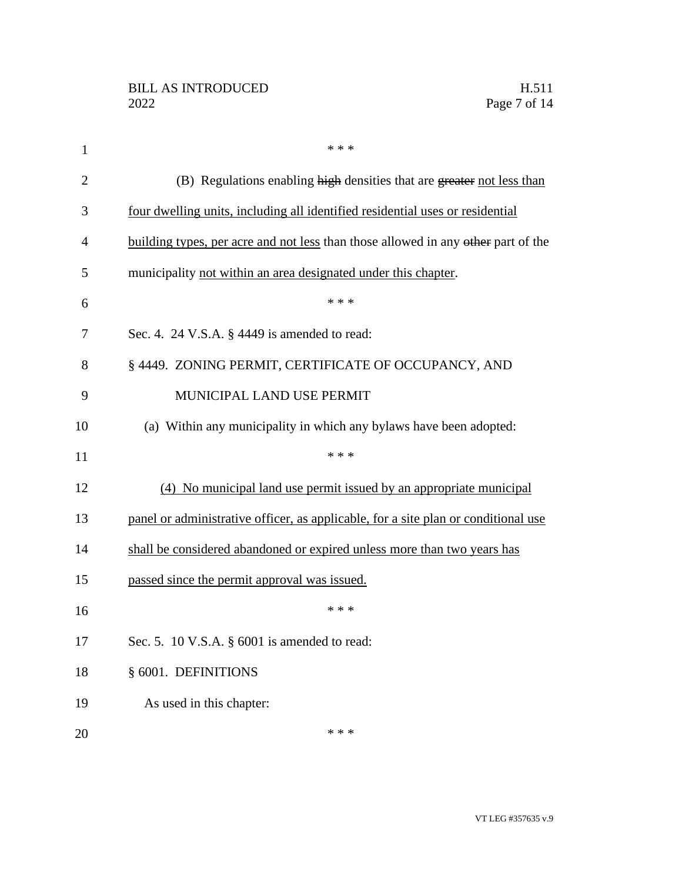| $\mathbf{1}$   | * * *                                                                              |
|----------------|------------------------------------------------------------------------------------|
| $\overline{2}$ | (B) Regulations enabling high densities that are greater not less than             |
| 3              | four dwelling units, including all identified residential uses or residential      |
| 4              | building types, per acre and not less than those allowed in any other part of the  |
| 5              | municipality not within an area designated under this chapter.                     |
| 6              | * * *                                                                              |
| 7              | Sec. 4. 24 V.S.A. § 4449 is amended to read:                                       |
| 8              | § 4449. ZONING PERMIT, CERTIFICATE OF OCCUPANCY, AND                               |
| 9              | MUNICIPAL LAND USE PERMIT                                                          |
| 10             | (a) Within any municipality in which any bylaws have been adopted:                 |
| 11             | * * *                                                                              |
| 12             | (4) No municipal land use permit issued by an appropriate municipal                |
| 13             | panel or administrative officer, as applicable, for a site plan or conditional use |
| 14             | shall be considered abandoned or expired unless more than two years has            |
| 15             | passed since the permit approval was issued.                                       |
| 16             | * * *                                                                              |
| 17             | Sec. 5. 10 V.S.A. $\S$ 6001 is amended to read:                                    |
| 18             | § 6001. DEFINITIONS                                                                |
| 19             | As used in this chapter:                                                           |
| 20             | * * *                                                                              |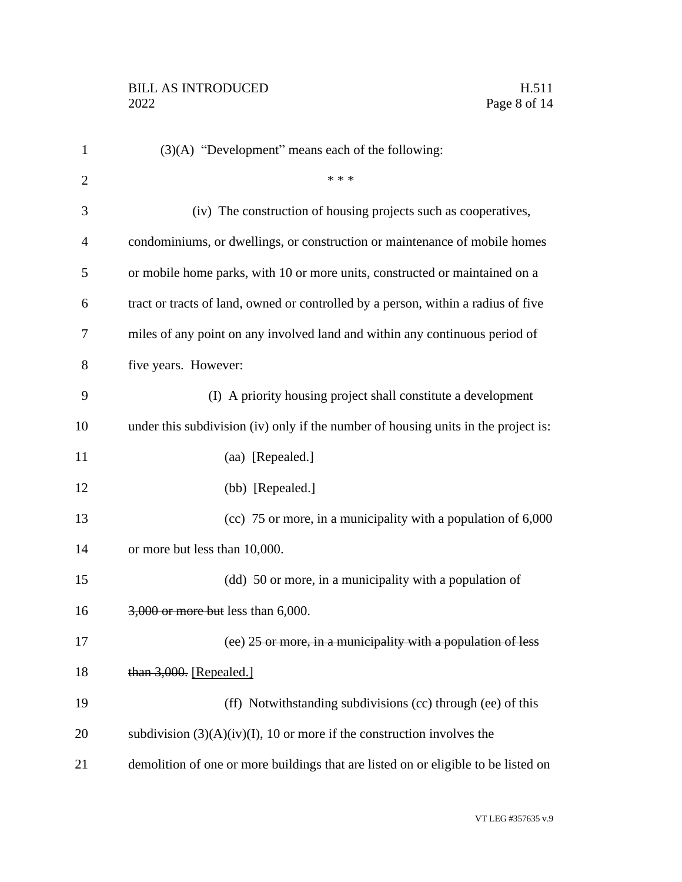| $\mathbf{1}$   | (3)(A) "Development" means each of the following:                                  |
|----------------|------------------------------------------------------------------------------------|
| $\overline{2}$ | * * *                                                                              |
| 3              | (iv) The construction of housing projects such as cooperatives,                    |
| 4              | condominiums, or dwellings, or construction or maintenance of mobile homes         |
| 5              | or mobile home parks, with 10 or more units, constructed or maintained on a        |
| 6              | tract or tracts of land, owned or controlled by a person, within a radius of five  |
| 7              | miles of any point on any involved land and within any continuous period of        |
| 8              | five years. However:                                                               |
| 9              | (I) A priority housing project shall constitute a development                      |
| 10             | under this subdivision (iv) only if the number of housing units in the project is: |
| 11             | (aa) [Repealed.]                                                                   |
| 12             | (bb) [Repealed.]                                                                   |
| 13             | (cc) 75 or more, in a municipality with a population of 6,000                      |
| 14             | or more but less than 10,000.                                                      |
| 15             | (dd) 50 or more, in a municipality with a population of                            |
| 16             | 3,000 or more but less than 6,000.                                                 |
| 17             | (ee) 25 or more, in a municipality with a population of less                       |
| 18             | than 3,000. [Repealed.]                                                            |
| 19             | (ff) Notwithstanding subdivisions (cc) through (ee) of this                        |
| 20             | subdivision $(3)(A)(iv)(I)$ , 10 or more if the construction involves the          |
| 21             | demolition of one or more buildings that are listed on or eligible to be listed on |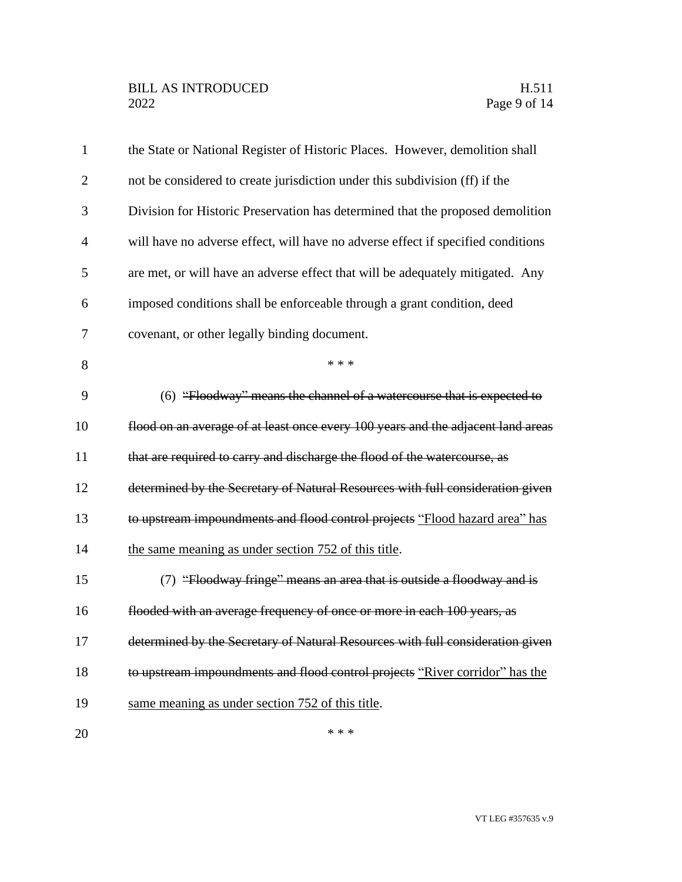| $\mathbf{1}$   | the State or National Register of Historic Places. However, demolition shall     |
|----------------|----------------------------------------------------------------------------------|
| $\overline{2}$ | not be considered to create jurisdiction under this subdivision (ff) if the      |
| 3              | Division for Historic Preservation has determined that the proposed demolition   |
| $\overline{4}$ | will have no adverse effect, will have no adverse effect if specified conditions |
| 5              | are met, or will have an adverse effect that will be adequately mitigated. Any   |
| 6              | imposed conditions shall be enforceable through a grant condition, deed          |
| 7              | covenant, or other legally binding document.                                     |
| 8              | * * *                                                                            |
| 9              | (6) "Floodway" means the channel of a watercourse that is expected to            |
| 10             | flood on an average of at least once every 100 years and the adjacent land areas |
| 11             | that are required to carry and discharge the flood of the watercourse, as        |
| 12             | determined by the Secretary of Natural Resources with full consideration given   |
| 13             | to upstream impoundments and flood control projects "Flood hazard area" has      |
| 14             | the same meaning as under section 752 of this title.                             |
| 15             | (7) "Floodway fringe" means an area that is outside a floodway and is            |
| 16             | flooded with an average frequency of once or more in each 100 years, as          |
| 17             | determined by the Secretary of Natural Resources with full consideration given   |
| 18             | to upstream impoundments and flood control projects "River corridor" has the     |
| 19             | same meaning as under section 752 of this title.                                 |
| 20             | * * *                                                                            |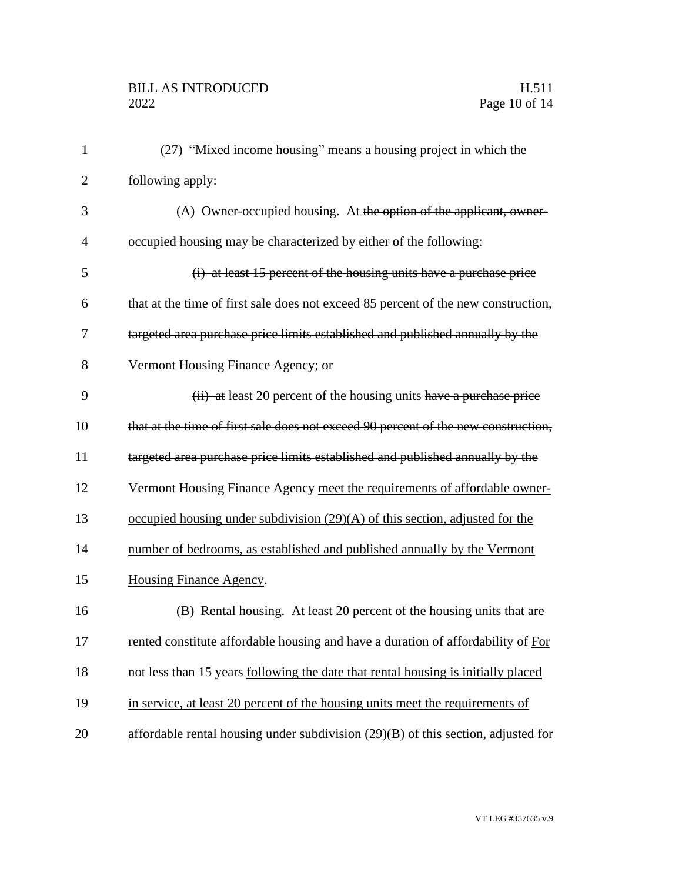| $\mathbf{1}$   | (27) "Mixed income housing" means a housing project in which the                    |
|----------------|-------------------------------------------------------------------------------------|
| $\overline{2}$ | following apply:                                                                    |
| 3              | (A) Owner-occupied housing. At the option of the applicant, owner-                  |
| 4              | occupied housing may be characterized by either of the following:                   |
| 5              | (i) at least 15 percent of the housing units have a purchase price                  |
| 6              | that at the time of first sale does not exceed 85 percent of the new construction,  |
| 7              | targeted area purchase price limits established and published annually by the       |
| 8              | Vermont Housing Finance Agency; or                                                  |
| 9              | (ii) at least 20 percent of the housing units have a purchase price                 |
| 10             | that at the time of first sale does not exceed 90 percent of the new construction,  |
| 11             | targeted area purchase price limits established and published annually by the       |
| 12             | Vermont Housing Finance Agency meet the requirements of affordable owner-           |
| 13             | occupied housing under subdivision $(29)(A)$ of this section, adjusted for the      |
| 14             | number of bedrooms, as established and published annually by the Vermont            |
| 15             | Housing Finance Agency.                                                             |
| 16             | (B) Rental housing. At least 20 percent of the housing units that are               |
| 17             | rented constitute affordable housing and have a duration of affordability of For    |
| 18             | not less than 15 years following the date that rental housing is initially placed   |
| 19             | in service, at least 20 percent of the housing units meet the requirements of       |
| 20             | affordable rental housing under subdivision $(29)(B)$ of this section, adjusted for |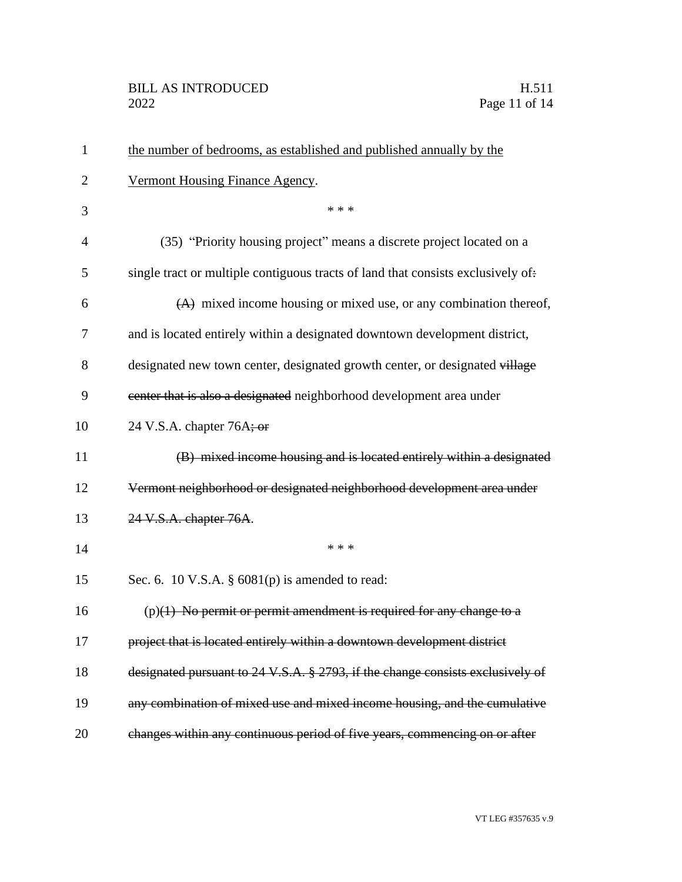| $\mathbf{1}$   | the number of bedrooms, as established and published annually by the             |
|----------------|----------------------------------------------------------------------------------|
| $\overline{2}$ | Vermont Housing Finance Agency.                                                  |
| 3              | * * *                                                                            |
| $\overline{4}$ | (35) "Priority housing project" means a discrete project located on a            |
| 5              | single tract or multiple contiguous tracts of land that consists exclusively of: |
| 6              | $(A)$ mixed income housing or mixed use, or any combination thereof,             |
| 7              | and is located entirely within a designated downtown development district,       |
| 8              | designated new town center, designated growth center, or designated village      |
| 9              | eenter that is also a designated neighborhood development area under             |
| 10             | 24 V.S.A. chapter 76A; or                                                        |
| 11             | (B) mixed income housing and is located entirely within a designated             |
| 12             | Vermont neighborhood or designated neighborhood development area under           |
| 13             | 24 V.S.A. chapter 76A.                                                           |
| 14             | * * *                                                                            |
| 15             | Sec. 6. 10 V.S.A. $\S$ 6081(p) is amended to read:                               |
| 16             | $(p)(1)$ No permit or permit amendment is required for any change to a           |
| 17             | project that is located entirely within a downtown development district          |
| 18             | designated pursuant to 24 V.S.A. § 2793, if the change consists exclusively of   |
| 19             | any combination of mixed use and mixed income housing, and the cumulative        |
| 20             | changes within any continuous period of five years, commencing on or after       |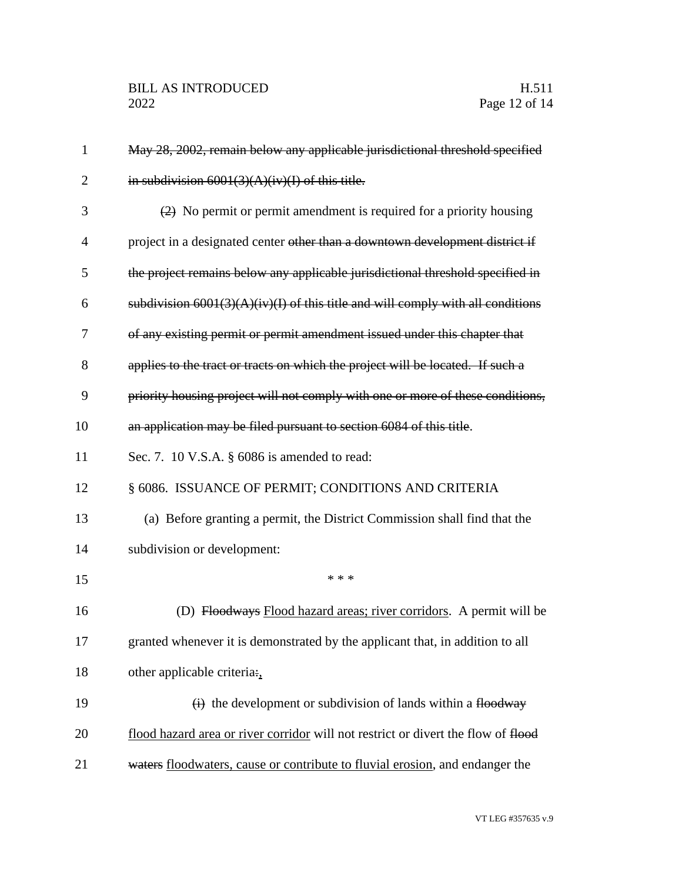| $\mathbf{1}$   | May 28, 2002, remain below any applicable jurisdictional threshold specified                  |
|----------------|-----------------------------------------------------------------------------------------------|
| $\overline{2}$ | in subdivision $6001(3)(A)(iv)(I)$ of this title.                                             |
| 3              | $\left( \frac{2}{2} \right)$ No permit or permit amendment is required for a priority housing |
| 4              | project in a designated center other than a downtown development district if                  |
| 5              | the project remains below any applicable jurisdictional threshold specified in                |
| 6              | subdivision $6001(3)(A)(iv)(I)$ of this title and will comply with all conditions             |
| 7              | of any existing permit or permit amendment issued under this chapter that                     |
| 8              | applies to the tract or tracts on which the project will be located. If such a                |
| 9              | priority housing project will not comply with one or more of these conditions,                |
| 10             | an application may be filed pursuant to section 6084 of this title.                           |
| 11             | Sec. 7. 10 V.S.A. § 6086 is amended to read:                                                  |
| 12             | § 6086. ISSUANCE OF PERMIT; CONDITIONS AND CRITERIA                                           |
| 13             | (a) Before granting a permit, the District Commission shall find that the                     |
| 14             | subdivision or development:                                                                   |
| 15             | * * *                                                                                         |
| 16             | (D) Floodways Flood hazard areas; river corridors. A permit will be                           |
| 17             | granted whenever it is demonstrated by the applicant that, in addition to all                 |
| 18             | other applicable criteria:,                                                                   |
| 19             | $\overrightarrow{(i)}$ the development or subdivision of lands within a flood way             |
| 20             | flood hazard area or river corridor will not restrict or divert the flow of flood             |
| 21             | waters floodwaters, cause or contribute to fluvial erosion, and endanger the                  |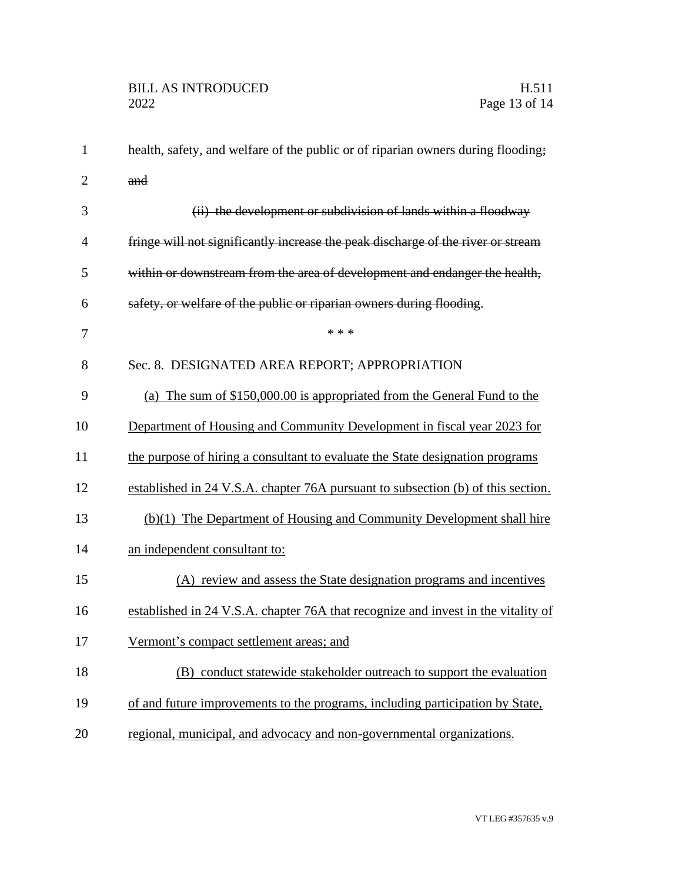| $\mathbf{1}$   | health, safety, and welfare of the public or of riparian owners during flooding;  |
|----------------|-----------------------------------------------------------------------------------|
| $\overline{2}$ | and                                                                               |
| 3              | (ii) the development or subdivision of lands within a floodway                    |
| 4              | fringe will not significantly increase the peak discharge of the river or stream  |
| 5              | within or downstream from the area of development and endanger the health,        |
| 6              | safety, or welfare of the public or riparian owners during flooding.              |
| 7              | * * *                                                                             |
| 8              | Sec. 8. DESIGNATED AREA REPORT; APPROPRIATION                                     |
| 9              | (a) The sum of \$150,000.00 is appropriated from the General Fund to the          |
| 10             | Department of Housing and Community Development in fiscal year 2023 for           |
| 11             | the purpose of hiring a consultant to evaluate the State designation programs     |
| 12             | established in 24 V.S.A. chapter 76A pursuant to subsection (b) of this section.  |
| 13             | (b)(1) The Department of Housing and Community Development shall hire             |
| 14             | an independent consultant to:                                                     |
| 15             | (A) review and assess the State designation programs and incentives               |
| 16             | established in 24 V.S.A. chapter 76A that recognize and invest in the vitality of |
| 17             | Vermont's compact settlement areas; and                                           |
| 18             | (B) conduct statewide stakeholder outreach to support the evaluation              |
| 19             | of and future improvements to the programs, including participation by State,     |
| 20             | regional, municipal, and advocacy and non-governmental organizations.             |